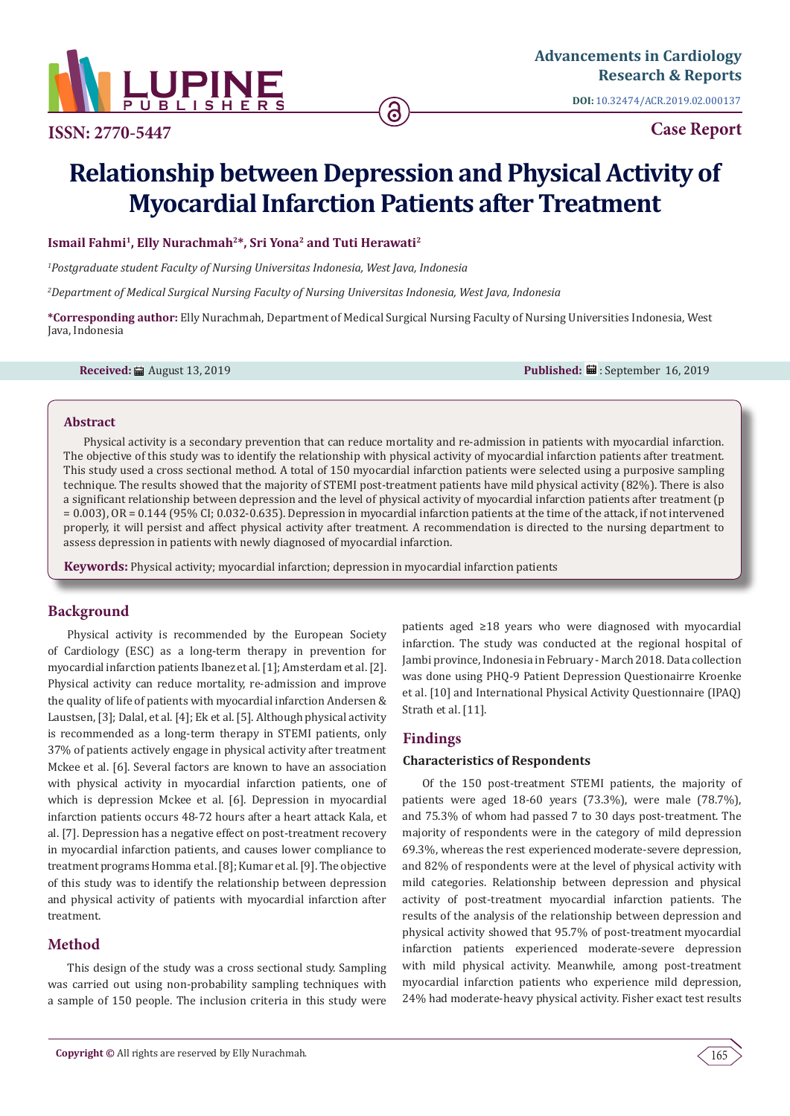

**ISSN: 2770-5447**

**DOI:** [10.32474/ACR.2019.02.00013](http://dx.doi.org/10.32474/ACR.2019.02.000137)7

**Case Report**

# **Relationship between Depression and Physical Activity of Myocardial Infarction Patients after Treatment**

6

## **Ismail Fahmi1, Elly Nurachmah2\*, Sri Yona2 and Tuti Herawati2**

*1 Postgraduate student Faculty of Nursing Universitas Indonesia, West Java, Indonesia*

*2 Department of Medical Surgical Nursing Faculty of Nursing Universitas Indonesia, West Java, Indonesia*

**\*Corresponding author:** Elly Nurachmah, Department of Medical Surgical Nursing Faculty of Nursing Universities Indonesia, West Java, Indonesia

**Received:** August 13, 2019 **Published:** : September 16, 2019

### **Abstract**

Physical activity is a secondary prevention that can reduce mortality and re-admission in patients with myocardial infarction. The objective of this study was to identify the relationship with physical activity of myocardial infarction patients after treatment. This study used a cross sectional method. A total of 150 myocardial infarction patients were selected using a purposive sampling technique. The results showed that the majority of STEMI post-treatment patients have mild physical activity (82%). There is also a significant relationship between depression and the level of physical activity of myocardial infarction patients after treatment (p = 0.003), OR = 0.144 (95% CI; 0.032-0.635). Depression in myocardial infarction patients at the time of the attack, if not intervened properly, it will persist and affect physical activity after treatment. A recommendation is directed to the nursing department to assess depression in patients with newly diagnosed of myocardial infarction.

**Keywords:** Physical activity; myocardial infarction; depression in myocardial infarction patients

# **Background**

Physical activity is recommended by the European Society of Cardiology (ESC) as a long-term therapy in prevention for myocardial infarction patients Ibanez et al. [1]; Amsterdam et al. [2]. Physical activity can reduce mortality, re-admission and improve the quality of life of patients with myocardial infarction Andersen & Laustsen, [3]; Dalal, et al. [4]; Ek et al. [5]. Although physical activity is recommended as a long-term therapy in STEMI patients, only 37% of patients actively engage in physical activity after treatment Mckee et al. [6]. Several factors are known to have an association with physical activity in myocardial infarction patients, one of which is depression Mckee et al. [6]. Depression in myocardial infarction patients occurs 48-72 hours after a heart attack Kala, et al. [7]. Depression has a negative effect on post-treatment recovery in myocardial infarction patients, and causes lower compliance to treatment programs Homma et al. [8]; Kumar et al. [9]. The objective of this study was to identify the relationship between depression and physical activity of patients with myocardial infarction after treatment.

# **Method**

This design of the study was a cross sectional study. Sampling was carried out using non-probability sampling techniques with a sample of 150 people. The inclusion criteria in this study were

patients aged ≥18 years who were diagnosed with myocardial infarction. The study was conducted at the regional hospital of Jambi province, Indonesia in February - March 2018. Data collection was done using PHQ-9 Patient Depression Questionairre Kroenke et al. [10] and International Physical Activity Questionnaire (IPAQ) Strath et al. [11].

# **Findings**

## **Characteristics of Respondents**

Of the 150 post-treatment STEMI patients, the majority of patients were aged 18-60 years (73.3%), were male (78.7%), and 75.3% of whom had passed 7 to 30 days post-treatment. The majority of respondents were in the category of mild depression 69.3%, whereas the rest experienced moderate-severe depression, and 82% of respondents were at the level of physical activity with mild categories. Relationship between depression and physical activity of post-treatment myocardial infarction patients. The results of the analysis of the relationship between depression and physical activity showed that 95.7% of post-treatment myocardial infarction patients experienced moderate-severe depression with mild physical activity. Meanwhile, among post-treatment myocardial infarction patients who experience mild depression, 24% had moderate-heavy physical activity. Fisher exact test results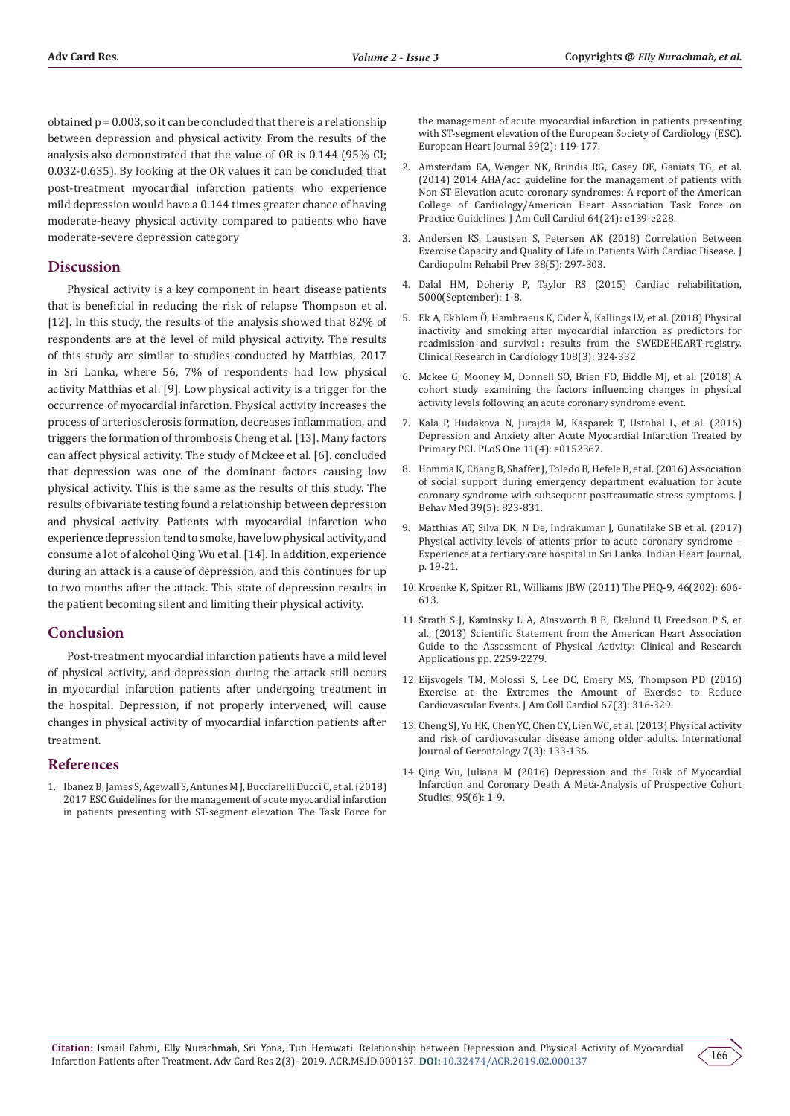obtained  $p = 0.003$ , so it can be concluded that there is a relationship between depression and physical activity. From the results of the analysis also demonstrated that the value of OR is 0.144 (95% CI; 0.032-0.635). By looking at the OR values it can be concluded that post-treatment myocardial infarction patients who experience mild depression would have a 0.144 times greater chance of having moderate-heavy physical activity compared to patients who have moderate-severe depression category

#### **Discussion**

Physical activity is a key component in heart disease patients that is beneficial in reducing the risk of relapse Thompson et al. [12]. In this study, the results of the analysis showed that 82% of respondents are at the level of mild physical activity. The results of this study are similar to studies conducted by Matthias, 2017 in Sri Lanka, where 56, 7% of respondents had low physical activity Matthias et al. [9]. Low physical activity is a trigger for the occurrence of myocardial infarction. Physical activity increases the process of arteriosclerosis formation, decreases inflammation, and triggers the formation of thrombosis Cheng et al. [13]. Many factors can affect physical activity. The study of Mckee et al. [6]. concluded that depression was one of the dominant factors causing low physical activity. This is the same as the results of this study. The results of bivariate testing found a relationship between depression and physical activity. Patients with myocardial infarction who experience depression tend to smoke, have low physical activity, and consume a lot of alcohol Qing Wu et al. [14]. In addition, experience during an attack is a cause of depression, and this continues for up to two months after the attack. This state of depression results in the patient becoming silent and limiting their physical activity.

# **Conclusion**

Post-treatment myocardial infarction patients have a mild level of physical activity, and depression during the attack still occurs in myocardial infarction patients after undergoing treatment in the hospital. Depression, if not properly intervened, will cause changes in physical activity of myocardial infarction patients after treatment.

#### **References**

1. [Ibanez B, James S, Agewall S, Antunes M J, Bucciarelli Ducci C, et al. \(2018\)](https://www.ncbi.nlm.nih.gov/pubmed/28886621)  [2017 ESC Guidelines for the management of acute myocardial infarction](https://www.ncbi.nlm.nih.gov/pubmed/28886621)  [in patients presenting with ST-segment elevation The Task Force for](https://www.ncbi.nlm.nih.gov/pubmed/28886621) 

[the management of acute myocardial infarction in patients presenting](https://www.ncbi.nlm.nih.gov/pubmed/28886621) [with ST-segment elevation of the European Society of Cardiology \(ESC\).](https://www.ncbi.nlm.nih.gov/pubmed/28886621) [European Heart Journal 39\(2\): 119-177.](https://www.ncbi.nlm.nih.gov/pubmed/28886621)

- 2. [Amsterdam EA, Wenger NK, Brindis RG, Casey DE, Ganiats TG, et al.](https://www.ncbi.nlm.nih.gov/pubmed/25260718) [\(2014\) 2014 AHA/acc guideline for the management of patients with](https://www.ncbi.nlm.nih.gov/pubmed/25260718) [Non-ST-Elevation acute coronary syndromes: A report of the American](https://www.ncbi.nlm.nih.gov/pubmed/25260718) [College of Cardiology/American Heart Association Task Force on](https://www.ncbi.nlm.nih.gov/pubmed/25260718) [Practice Guidelines. J Am Coll Cardiol 64\(24\): e139-e228.](https://www.ncbi.nlm.nih.gov/pubmed/25260718)
- 3. [Andersen KS, Laustsen S, Petersen AK \(2018\) Correlation Between](https://www.ncbi.nlm.nih.gov/pubmed/28885281) [Exercise Capacity and Quality of Life in Patients With Cardiac Disease. J](https://www.ncbi.nlm.nih.gov/pubmed/28885281) [Cardiopulm Rehabil Prev 38\(5\): 297-303.](https://www.ncbi.nlm.nih.gov/pubmed/28885281)
- 4. Dalal HM, Doherty P, Taylor RS (2015) Cardiac rehabilitation, 5000(September): 1-8.
- 5. [Ek A, Ekblom Ö, Hambraeus K, Cider Å, Kallings LV, et al. \(2018\) Physical](https://www.ncbi.nlm.nih.gov/pubmed/30167806) [inactivity and smoking after myocardial infarction as predictors for](https://www.ncbi.nlm.nih.gov/pubmed/30167806) [readmission and survival : results from the SWEDEHEART-registry.](https://www.ncbi.nlm.nih.gov/pubmed/30167806) [Clinical Research in Cardiology 108\(3\): 324-332.](https://www.ncbi.nlm.nih.gov/pubmed/30167806)
- 6. Mckee G, Mooney M, Donnell SO, Brien FO, Biddle MJ, et al. (2018) A cohort study examining the factors influencing changes in physical activity levels following an acute coronary syndrome event.
- 7. [Kala P, Hudakova N, Jurajda M, Kasparek T, Ustohal L, et al. \(2016\)](https://www.ncbi.nlm.nih.gov/pubmed/27074002) [Depression and Anxiety after Acute Myocardial Infarction Treated by](https://www.ncbi.nlm.nih.gov/pubmed/27074002) [Primary PCI. PLoS One 11\(4\): e0152367.](https://www.ncbi.nlm.nih.gov/pubmed/27074002)
- 8. [Homma K, Chang B, Shaffer J, Toledo B, Hefele B, et al. \(2016\) Association](https://www.ncbi.nlm.nih.gov/pubmed/27233900) [of social support during emergency department evaluation for acute](https://www.ncbi.nlm.nih.gov/pubmed/27233900) [coronary syndrome with subsequent posttraumatic stress symptoms. J](https://www.ncbi.nlm.nih.gov/pubmed/27233900) [Behav Med 39\(5\): 823-831.](https://www.ncbi.nlm.nih.gov/pubmed/27233900)
- 9. Matthias AT, Silva DK, N De, Indrakumar J, Gunatilake SB et al. (2017) Physical activity levels of atients prior to acute coronary syndrome – Experience at a tertiary care hospital in Sri Lanka. Indian Heart Journal, p. 19-21.
- 10. Kroenke K, Spitzer RL, Williams JBW (2011) The PHQ-9, 46(202): 606- 613.
- 11. [Strath S J, Kaminsky L A, Ainsworth B E, Ekelund U, Freedson P S, et](https://www.ncbi.nlm.nih.gov/pubmed/24126387) [al., \(2013\) Scientific Statement from the American Heart Association](https://www.ncbi.nlm.nih.gov/pubmed/24126387) [Guide to the Assessment of Physical Activity: Clinical and Research](https://www.ncbi.nlm.nih.gov/pubmed/24126387) [Applications pp. 2259-2279.](https://www.ncbi.nlm.nih.gov/pubmed/24126387)
- 12. [Eijsvogels TM, Molossi S, Lee DC, Emery MS, Thompson PD \(2016\)](https://www.ncbi.nlm.nih.gov/pubmed/26796398) [Exercise at the Extremes the Amount of Exercise to Reduce](https://www.ncbi.nlm.nih.gov/pubmed/26796398) [Cardiovascular Events. J Am Coll Cardiol 67\(3\): 316-329.](https://www.ncbi.nlm.nih.gov/pubmed/26796398)
- 13. [Cheng SJ, Yu HK, Chen YC, Chen CY, Lien WC, et al. \(2013\) Physical activity](https://www.sciencedirect.com/science/article/pii/S1873959813000379) [and risk of cardiovascular disease among older adults. International](https://www.sciencedirect.com/science/article/pii/S1873959813000379) [Journal of Gerontology 7\(3\): 133-136.](https://www.sciencedirect.com/science/article/pii/S1873959813000379)
- 14. [Qing Wu, Juliana M \(2016\) Depression and the Risk of Myocardial](https://www.ncbi.nlm.nih.gov/pubmed/26871852) [Infarction and Coronary Death A Meta-Analysis of Prospective Cohort](https://www.ncbi.nlm.nih.gov/pubmed/26871852) [Studies, 95\(6\): 1-9.](https://www.ncbi.nlm.nih.gov/pubmed/26871852)

166